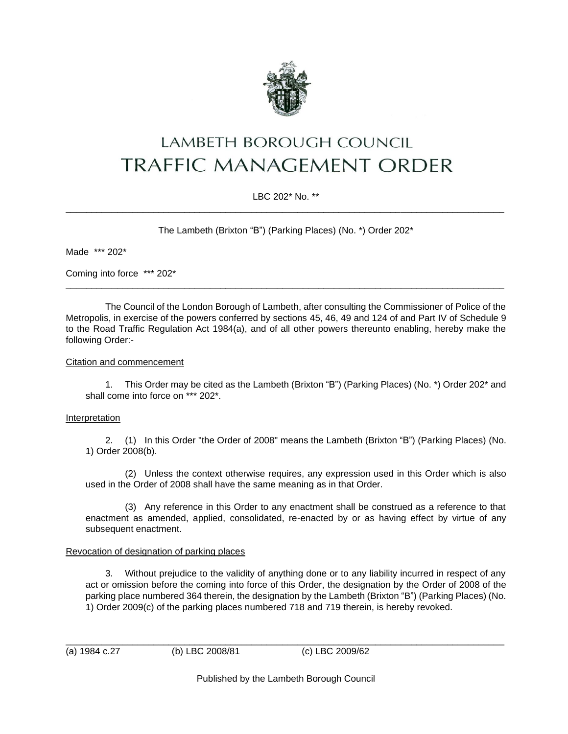

# **LAMBETH BOROUGH COUNCIL** TRAFFIC MANAGEMENT ORDER

## LBC 202\* No. \*\* \_\_\_\_\_\_\_\_\_\_\_\_\_\_\_\_\_\_\_\_\_\_\_\_\_\_\_\_\_\_\_\_\_\_\_\_\_\_\_\_\_\_\_\_\_\_\_\_\_\_\_\_\_\_\_\_\_\_\_\_\_\_\_\_\_\_\_\_\_\_\_\_\_\_\_\_\_\_\_\_\_\_\_\_\_

The Lambeth (Brixton "B") (Parking Places) (No. \*) Order 202\*

Made \*\*\* 202\*

Coming into force \*\*\* 202\*

The Council of the London Borough of Lambeth, after consulting the Commissioner of Police of the Metropolis, in exercise of the powers conferred by sections 45, 46, 49 and 124 of and Part IV of Schedule 9 to the Road Traffic Regulation Act 1984(a), and of all other powers thereunto enabling, hereby make the following Order:-

\_\_\_\_\_\_\_\_\_\_\_\_\_\_\_\_\_\_\_\_\_\_\_\_\_\_\_\_\_\_\_\_\_\_\_\_\_\_\_\_\_\_\_\_\_\_\_\_\_\_\_\_\_\_\_\_\_\_\_\_\_\_\_\_\_\_\_\_\_\_\_\_\_\_\_\_\_\_\_\_\_\_\_\_\_

## Citation and commencement

1. This Order may be cited as the Lambeth (Brixton "B") (Parking Places) (No. \*) Order 202\* and shall come into force on \*\*\* 202\*.

#### Interpretation

2. (1) In this Order "the Order of 2008" means the Lambeth (Brixton "B") (Parking Places) (No. 1) Order 2008(b).

(2) Unless the context otherwise requires, any expression used in this Order which is also used in the Order of 2008 shall have the same meaning as in that Order.

(3) Any reference in this Order to any enactment shall be construed as a reference to that enactment as amended, applied, consolidated, re-enacted by or as having effect by virtue of any subsequent enactment.

#### Revocation of designation of parking places

3. Without prejudice to the validity of anything done or to any liability incurred in respect of any act or omission before the coming into force of this Order, the designation by the Order of 2008 of the parking place numbered 364 therein, the designation by the Lambeth (Brixton "B") (Parking Places) (No. 1) Order 2009(c) of the parking places numbered 718 and 719 therein, is hereby revoked.

(a) 1984 c.27 (b) LBC 2008/81 (c) LBC 2009/62

Published by the Lambeth Borough Council

\_\_\_\_\_\_\_\_\_\_\_\_\_\_\_\_\_\_\_\_\_\_\_\_\_\_\_\_\_\_\_\_\_\_\_\_\_\_\_\_\_\_\_\_\_\_\_\_\_\_\_\_\_\_\_\_\_\_\_\_\_\_\_\_\_\_\_\_\_\_\_\_\_\_\_\_\_\_\_\_\_\_\_\_\_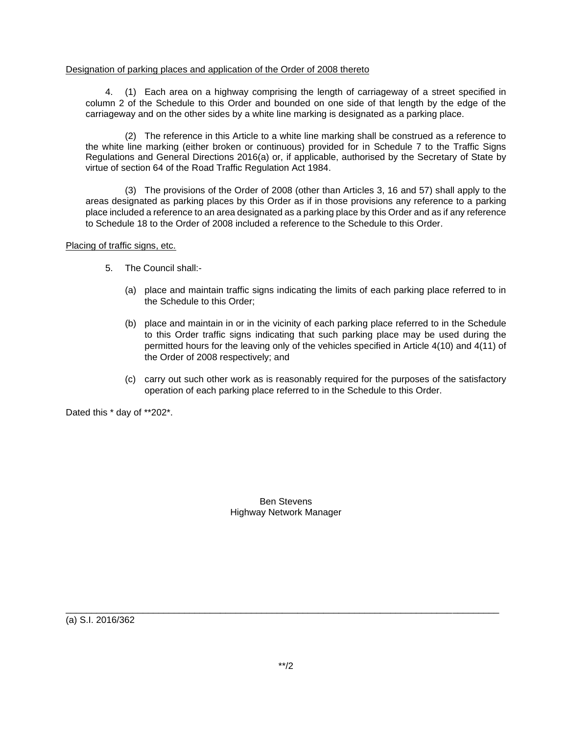## Designation of parking places and application of the Order of 2008 thereto

4. (1) Each area on a highway comprising the length of carriageway of a street specified in column 2 of the Schedule to this Order and bounded on one side of that length by the edge of the carriageway and on the other sides by a white line marking is designated as a parking place.

(2) The reference in this Article to a white line marking shall be construed as a reference to the white line marking (either broken or continuous) provided for in Schedule 7 to the Traffic Signs Regulations and General Directions 2016(a) or, if applicable, authorised by the Secretary of State by virtue of section 64 of the Road Traffic Regulation Act 1984.

(3) The provisions of the Order of 2008 (other than Articles 3, 16 and 57) shall apply to the areas designated as parking places by this Order as if in those provisions any reference to a parking place included a reference to an area designated as a parking place by this Order and as if any reference to Schedule 18 to the Order of 2008 included a reference to the Schedule to this Order.

#### Placing of traffic signs, etc.

- 5. The Council shall:-
	- (a) place and maintain traffic signs indicating the limits of each parking place referred to in the Schedule to this Order;
	- (b) place and maintain in or in the vicinity of each parking place referred to in the Schedule to this Order traffic signs indicating that such parking place may be used during the permitted hours for the leaving only of the vehicles specified in Article 4(10) and 4(11) of the Order of 2008 respectively; and
	- (c) carry out such other work as is reasonably required for the purposes of the satisfactory operation of each parking place referred to in the Schedule to this Order.

Dated this \* day of \*\*202\*.

Ben Stevens Highway Network Manager

(a) S.I. 2016/362

\_\_\_\_\_\_\_\_\_\_\_\_\_\_\_\_\_\_\_\_\_\_\_\_\_\_\_\_\_\_\_\_\_\_\_\_\_\_\_\_\_\_\_\_\_\_\_\_\_\_\_\_\_\_\_\_\_\_\_\_\_\_\_\_\_\_\_\_\_\_\_\_\_\_\_\_\_\_\_\_\_\_\_\_